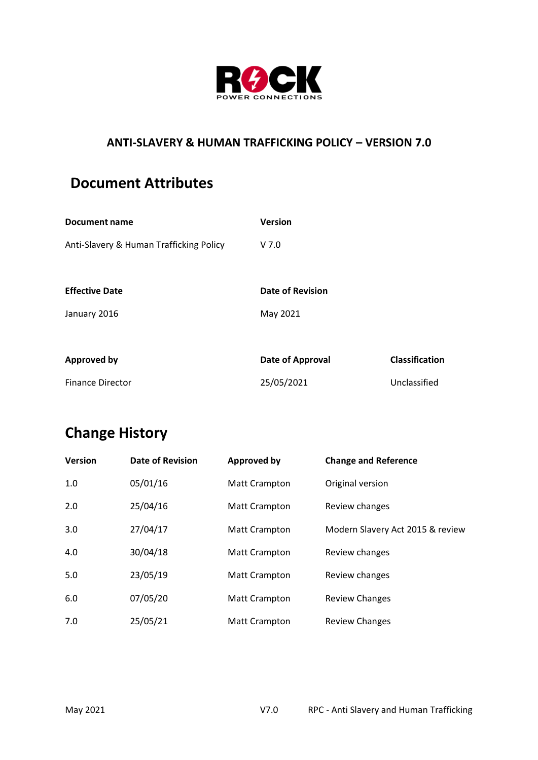

## **ANTI-SLAVERY & HUMAN TRAFFICKING POLICY – VERSION 7.0**

## **Document Attributes**

| Document name                           | <b>Version</b>          |                       |
|-----------------------------------------|-------------------------|-----------------------|
| Anti-Slavery & Human Trafficking Policy | V <sub>7.0</sub>        |                       |
|                                         |                         |                       |
| <b>Effective Date</b>                   | <b>Date of Revision</b> |                       |
| January 2016                            | May 2021                |                       |
|                                         |                         |                       |
| <b>Approved by</b>                      | Date of Approval        | <b>Classification</b> |
| <b>Finance Director</b>                 | 25/05/2021              | Unclassified          |

## **Change History**

| <b>Version</b> | <b>Date of Revision</b> | <b>Approved by</b>   | <b>Change and Reference</b>      |
|----------------|-------------------------|----------------------|----------------------------------|
| 1.0            | 05/01/16                | <b>Matt Crampton</b> | Original version                 |
| 2.0            | 25/04/16                | <b>Matt Crampton</b> | Review changes                   |
| 3.0            | 27/04/17                | <b>Matt Crampton</b> | Modern Slavery Act 2015 & review |
| 4.0            | 30/04/18                | <b>Matt Crampton</b> | Review changes                   |
| 5.0            | 23/05/19                | <b>Matt Crampton</b> | Review changes                   |
| 6.0            | 07/05/20                | <b>Matt Crampton</b> | <b>Review Changes</b>            |
| 7.0            | 25/05/21                | <b>Matt Crampton</b> | <b>Review Changes</b>            |